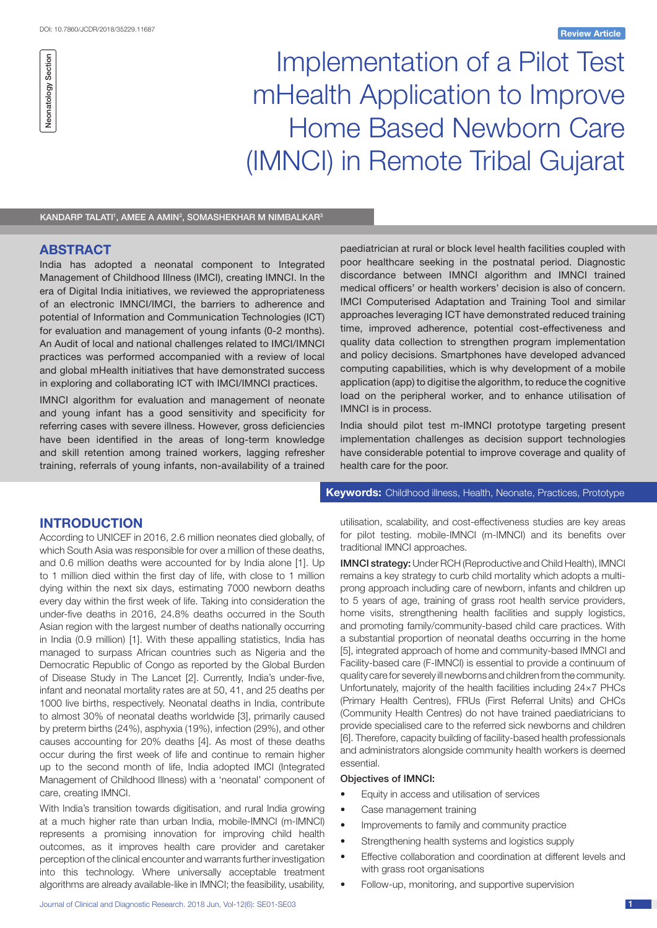Implementation of a Pilot Test mHealth Application to Improve Home Based Newborn Care (IMNCI) in Remote Tribal Gujarat

KANDARP TALATI', AMEE A AMIN<sup>2</sup>, SOMASHEKHAR M NIMBALKAR<sup>3</sup>

# **ABSTRACT**

India has adopted a neonatal component to Integrated Management of Childhood Illness (IMCI), creating IMNCI. In the era of Digital India initiatives, we reviewed the appropriateness of an electronic IMNCI/IMCI, the barriers to adherence and potential of Information and Communication Technologies (ICT) for evaluation and management of young infants (0-2 months). An Audit of local and national challenges related to IMCI/IMNCI practices was performed accompanied with a review of local and global mHealth initiatives that have demonstrated success in exploring and collaborating ICT with IMCI/IMNCI practices.

IMNCI algorithm for evaluation and management of neonate and young infant has a good sensitivity and specificity for referring cases with severe illness. However, gross deficiencies have been identified in the areas of long-term knowledge and skill retention among trained workers, lagging refresher training, referrals of young infants, non-availability of a trained

paediatrician at rural or block level health facilities coupled with poor healthcare seeking in the postnatal period. Diagnostic discordance between IMNCI algorithm and IMNCI trained medical officers' or health workers' decision is also of concern. IMCI Computerised Adaptation and Training Tool and similar approaches leveraging ICT have demonstrated reduced training time, improved adherence, potential cost-effectiveness and quality data collection to strengthen program implementation and policy decisions. Smartphones have developed advanced computing capabilities, which is why development of a mobile application (app) to digitise the algorithm, to reduce the cognitive load on the peripheral worker, and to enhance utilisation of IMNCI is in process.

India should pilot test m-IMNCI prototype targeting present implementation challenges as decision support technologies have considerable potential to improve coverage and quality of health care for the poor.

# **Keywords:** Childhood illness, Health, Neonate, Practices, Prototype

# **INTRODUCTION**

According to UNICEF in 2016, 2.6 million neonates died globally, of which South Asia was responsible for over a million of these deaths, and 0.6 million deaths were accounted for by India alone [1]. Up to 1 million died within the first day of life, with close to 1 million dying within the next six days, estimating 7000 newborn deaths every day within the first week of life. Taking into consideration the under-five deaths in 2016, 24.8% deaths occurred in the South Asian region with the largest number of deaths nationally occurring in India (0.9 million) [1]. With these appalling statistics, India has managed to surpass African countries such as Nigeria and the Democratic Republic of Congo as reported by the Global Burden of Disease Study in The Lancet [2]. Currently, India's under-five, infant and neonatal mortality rates are at 50, 41, and 25 deaths per 1000 live births, respectively. Neonatal deaths in India, contribute to almost 30% of neonatal deaths worldwide [3], primarily caused by preterm births (24%), asphyxia (19%), infection (29%), and other causes accounting for 20% deaths [4]. As most of these deaths occur during the first week of life and continue to remain higher up to the second month of life, India adopted IMCI (Integrated Management of Childhood Illness) with a 'neonatal' component of care, creating IMNCI.

With India's transition towards digitisation, and rural India growing at a much higher rate than urban India, mobile-IMNCI (m-IMNCI) represents a promising innovation for improving child health outcomes, as it improves health care provider and caretaker perception of the clinical encounter and warrants further investigation into this technology. Where universally acceptable treatment algorithms are already available-like in IMNCI; the feasibility, usability,

utilisation, scalability, and cost-effectiveness studies are key areas for pilot testing. mobile-IMNCI (m-IMNCI) and its benefits over traditional IMNCI approaches.

IMNCI strategy: Under RCH (Reproductive and Child Health), IMNCI remains a key strategy to curb child mortality which adopts a multiprong approach including care of newborn, infants and children up to 5 years of age, training of grass root health service providers, home visits, strengthening health facilities and supply logistics, and promoting family/community-based child care practices. With a substantial proportion of neonatal deaths occurring in the home [5], integrated approach of home and community-based IMNCI and Facility-based care (F-IMNCI) is essential to provide a continuum of quality care for severely ill newborns and children from the community. Unfortunately, majority of the health facilities including 24×7 PHCs (Primary Health Centres), FRUs (First Referral Units) and CHCs (Community Health Centres) do not have trained paediatricians to provide specialised care to the referred sick newborns and children [6]. Therefore, capacity building of facility-based health professionals and administrators alongside community health workers is deemed essential.

### Objectives of IMNCI:

- Equity in access and utilisation of services
- Case management training
- Improvements to family and community practice
- Strengthening health systems and logistics supply
- Effective collaboration and coordination at different levels and with grass root organisations
- Follow-up, monitoring, and supportive supervision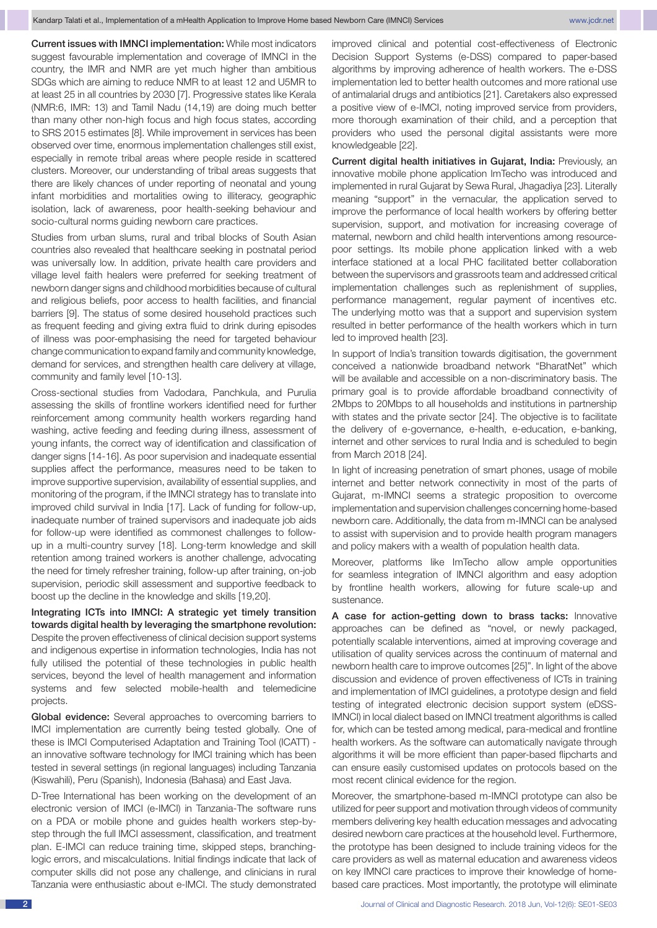Current issues with IMNCI implementation: While most indicators suggest favourable implementation and coverage of IMNCI in the country, the IMR and NMR are yet much higher than ambitious SDGs which are aiming to reduce NMR to at least 12 and U5MR to at least 25 in all countries by 2030 [7]. Progressive states like Kerala (NMR:6, IMR: 13) and Tamil Nadu (14,19) are doing much better than many other non-high focus and high focus states, according to SRS 2015 estimates [8]. While improvement in services has been observed over time, enormous implementation challenges still exist, especially in remote tribal areas where people reside in scattered clusters. Moreover, our understanding of tribal areas suggests that there are likely chances of under reporting of neonatal and young infant morbidities and mortalities owing to illiteracy, geographic isolation, lack of awareness, poor health-seeking behaviour and socio-cultural norms guiding newborn care practices.

Studies from urban slums, rural and tribal blocks of South Asian countries also revealed that healthcare seeking in postnatal period was universally low. In addition, private health care providers and village level faith healers were preferred for seeking treatment of newborn danger signs and childhood morbidities because of cultural and religious beliefs, poor access to health facilities, and financial barriers [9]. The status of some desired household practices such as frequent feeding and giving extra fluid to drink during episodes of illness was poor-emphasising the need for targeted behaviour change communication to expand family and community knowledge, demand for services, and strengthen health care delivery at village, community and family level [10-13].

Cross-sectional studies from Vadodara, Panchkula, and Purulia assessing the skills of frontline workers identified need for further reinforcement among community health workers regarding hand washing, active feeding and feeding during illness, assessment of young infants, the correct way of identification and classification of danger signs [14-16]. As poor supervision and inadequate essential supplies affect the performance, measures need to be taken to improve supportive supervision, availability of essential supplies, and monitoring of the program, if the IMNCI strategy has to translate into improved child survival in India [17]. Lack of funding for follow-up, inadequate number of trained supervisors and inadequate job aids for follow-up were identified as commonest challenges to followup in a multi-country survey [18]. Long-term knowledge and skill retention among trained workers is another challenge, advocating the need for timely refresher training, follow-up after training, on-job supervision, periodic skill assessment and supportive feedback to boost up the decline in the knowledge and skills [19,20].

Integrating ICTs into IMNCI: A strategic yet timely transition towards digital health by leveraging the smartphone revolution: Despite the proven effectiveness of clinical decision support systems and indigenous expertise in information technologies, India has not fully utilised the potential of these technologies in public health services, beyond the level of health management and information systems and few selected mobile-health and telemedicine projects.

Global evidence: Several approaches to overcoming barriers to IMCI implementation are currently being tested globally. One of these is IMCI Computerised Adaptation and Training Tool (ICATT) an innovative software technology for IMCI training which has been tested in several settings (in regional languages) including Tanzania (Kiswahili), Peru (Spanish), Indonesia (Bahasa) and East Java.

D-Tree International has been working on the development of an electronic version of IMCI (e-IMCI) in Tanzania-The software runs on a PDA or mobile phone and guides health workers step-bystep through the full IMCI assessment, classification, and treatment plan. E-IMCI can reduce training time, skipped steps, branchinglogic errors, and miscalculations. Initial findings indicate that lack of computer skills did not pose any challenge, and clinicians in rural Tanzania were enthusiastic about e-IMCI. The study demonstrated improved clinical and potential cost-effectiveness of Electronic Decision Support Systems (e-DSS) compared to paper-based algorithms by improving adherence of health workers. The e-DSS implementation led to better health outcomes and more rational use of antimalarial drugs and antibiotics [21]. Caretakers also expressed a positive view of e-IMCI, noting improved service from providers, more thorough examination of their child, and a perception that providers who used the personal digital assistants were more knowledgeable [22].

Current digital health initiatives in Gujarat, India: Previously, an innovative mobile phone application ImTecho was introduced and implemented in rural Gujarat by Sewa Rural, Jhagadiya [23]. Literally meaning "support" in the vernacular, the application served to improve the performance of local health workers by offering better supervision, support, and motivation for increasing coverage of maternal, newborn and child health interventions among resourcepoor settings. Its mobile phone application linked with a web interface stationed at a local PHC facilitated better collaboration between the supervisors and grassroots team and addressed critical implementation challenges such as replenishment of supplies, performance management, regular payment of incentives etc. The underlying motto was that a support and supervision system resulted in better performance of the health workers which in turn led to improved health [23].

In support of India's transition towards digitisation, the government conceived a nationwide broadband network "BharatNet" which will be available and accessible on a non-discriminatory basis. The primary goal is to provide affordable broadband connectivity of 2Mbps to 20Mbps to all households and institutions in partnership with states and the private sector [24]. The objective is to facilitate the delivery of e-governance, e-health, e-education, e-banking, internet and other services to rural India and is scheduled to begin from March 2018 [24].

In light of increasing penetration of smart phones, usage of mobile internet and better network connectivity in most of the parts of Gujarat, m-IMNCI seems a strategic proposition to overcome implementation and supervision challenges concerning home-based newborn care. Additionally, the data from m-IMNCI can be analysed to assist with supervision and to provide health program managers and policy makers with a wealth of population health data.

Moreover, platforms like ImTecho allow ample opportunities for seamless integration of IMNCI algorithm and easy adoption by frontline health workers, allowing for future scale-up and sustenance.

A case for action-getting down to brass tacks: Innovative approaches can be defined as "novel, or newly packaged, potentially scalable interventions, aimed at improving coverage and utilisation of quality services across the continuum of maternal and newborn health care to improve outcomes [25]". In light of the above discussion and evidence of proven effectiveness of ICTs in training and implementation of IMCI guidelines, a prototype design and field testing of integrated electronic decision support system (eDSS-IMNCI) in local dialect based on IMNCI treatment algorithms is called for, which can be tested among medical, para-medical and frontline health workers. As the software can automatically navigate through algorithms it will be more efficient than paper-based flipcharts and can ensure easily customised updates on protocols based on the most recent clinical evidence for the region.

Moreover, the smartphone-based m-IMNCI prototype can also be utilized for peer support and motivation through videos of community members delivering key health education messages and advocating desired newborn care practices at the household level. Furthermore, the prototype has been designed to include training videos for the care providers as well as maternal education and awareness videos on key IMNCI care practices to improve their knowledge of homebased care practices. Most importantly, the prototype will eliminate